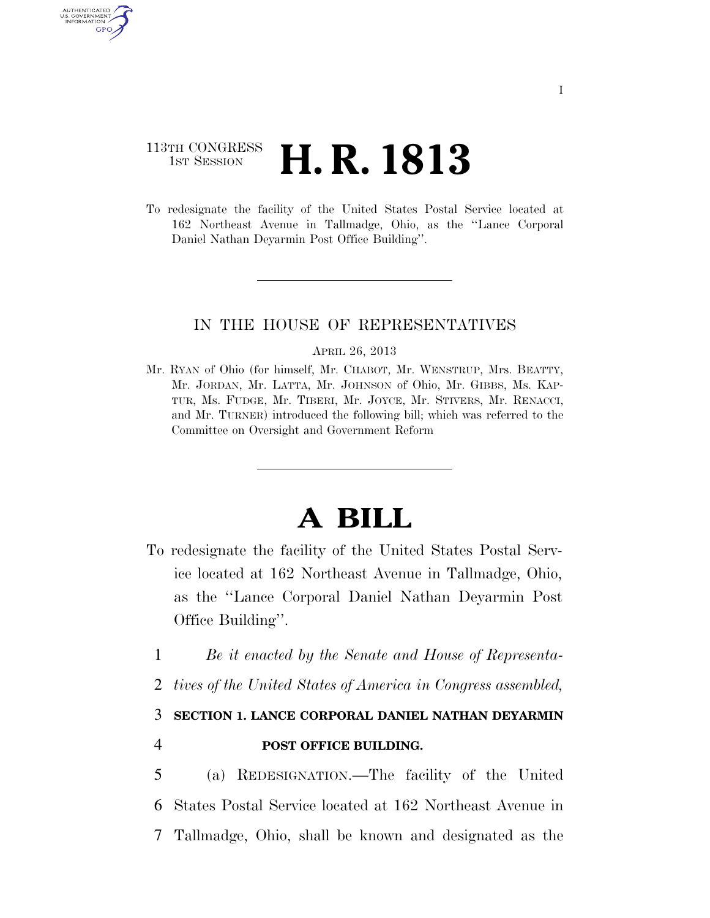# 113TH CONGRESS <sup>TH CONGRESS</sup> **H. R. 1813**

AUTHENTICATED U.S. GOVERNMENT GPO

> To redesignate the facility of the United States Postal Service located at 162 Northeast Avenue in Tallmadge, Ohio, as the ''Lance Corporal Daniel Nathan Deyarmin Post Office Building''.

## IN THE HOUSE OF REPRESENTATIVES

#### APRIL 26, 2013

Mr. RYAN of Ohio (for himself, Mr. CHABOT, Mr. WENSTRUP, Mrs. BEATTY, Mr. JORDAN, Mr. LATTA, Mr. JOHNSON of Ohio, Mr. GIBBS, Ms. KAP-TUR, Ms. FUDGE, Mr. TIBERI, Mr. JOYCE, Mr. STIVERS, Mr. RENACCI, and Mr. TURNER) introduced the following bill; which was referred to the Committee on Oversight and Government Reform

# **A BILL**

- To redesignate the facility of the United States Postal Service located at 162 Northeast Avenue in Tallmadge, Ohio, as the ''Lance Corporal Daniel Nathan Deyarmin Post Office Building''.
	- 1 *Be it enacted by the Senate and House of Representa-*
	- 2 *tives of the United States of America in Congress assembled,*

### 3 **SECTION 1. LANCE CORPORAL DANIEL NATHAN DEYARMIN**

4 **POST OFFICE BUILDING.** 

5 (a) REDESIGNATION.—The facility of the United 6 States Postal Service located at 162 Northeast Avenue in 7 Tallmadge, Ohio, shall be known and designated as the